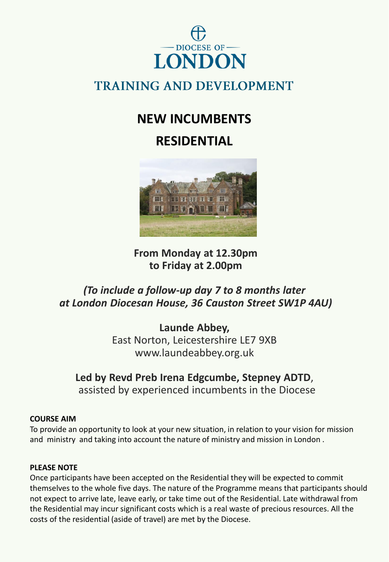

## **TRAINING AND DEVELOPMENT**

# **NEW INCUMBENTS**

# **RESIDENTIAL**



**From Monday at 12.30pm to Friday at 2.00pm**

### *(To include a follow-up day 7 to 8 months later at London Diocesan House, 36 Causton Street SW1P 4AU)*

**Launde Abbey,**  East Norton, Leicestershire LE7 9XB www.laundeabbey.org.uk

### **Led by Revd Preb Irena Edgcumbe, Stepney ADTD**,

assisted by experienced incumbents in the Diocese

### **COURSE AIM**

To provide an opportunity to look at your new situation, in relation to your vision for mission and ministry and taking into account the nature of ministry and mission in London .

### **PLEASE NOTE**

Once participants have been accepted on the Residential they will be expected to commit themselves to the whole five days. The nature of the Programme means that participants should not expect to arrive late, leave early, or take time out of the Residential. Late withdrawal from the Residential may incur significant costs which is a real waste of precious resources. All the costs of the residential (aside of travel) are met by the Diocese.